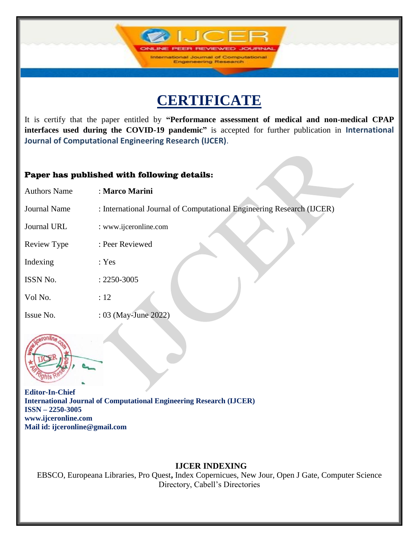**IJCF** 

International Journal of Computation **Engeneering Research** 

It is certify that the paper entitled by **"Performance assessment of medical and non-medical CPAP interfaces used during the COVID-19 pandemic"** is accepted for further publication in **International Journal of Computational Engineering Research (IJCER)**.

#### Paper has published with following details:

| <b>Authors Name</b> | : Marco Marini                                                        |
|---------------------|-----------------------------------------------------------------------|
| <b>Journal Name</b> | : International Journal of Computational Engineering Research (IJCER) |
| Journal URL         | : www.ijceronline.com                                                 |
| Review Type         | : Peer Reviewed                                                       |
| Indexing            | : Yes                                                                 |
| ISSN No.            | $: 2250 - 3005$                                                       |
| Vol No.             | :12                                                                   |
| Issue No.           | : 03 (May-June 2022)                                                  |



**Editor-In-Chief International Journal of Computational Engineering Research (IJCER) ISSN – 2250-3005 www.ijceronline.com Mail id: ijceronline@gmail.com**

### **IJCER INDEXING**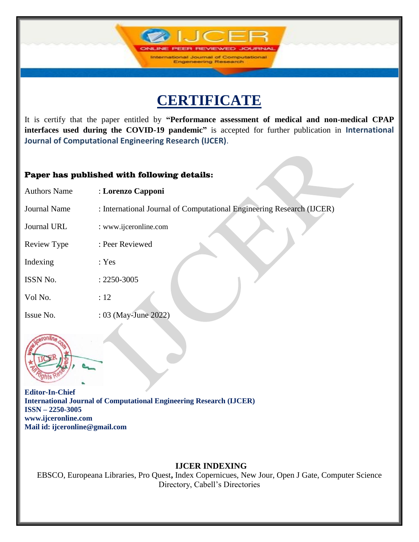**IJCF** 

International Journal of Computation **Engeneering Research** 

It is certify that the paper entitled by **"Performance assessment of medical and non-medical CPAP interfaces used during the COVID-19 pandemic"** is accepted for further publication in **International Journal of Computational Engineering Research (IJCER)**.

#### Paper has published with following details:

| <b>Authors Name</b> | : Lorenzo Capponi                                                     |
|---------------------|-----------------------------------------------------------------------|
| <b>Journal Name</b> | : International Journal of Computational Engineering Research (IJCER) |
| Journal URL         | : www.ijceronline.com                                                 |
| Review Type         | : Peer Reviewed                                                       |
| Indexing            | : Yes                                                                 |
| ISSN No.            | $: 2250 - 3005$                                                       |
| Vol No.             | :12                                                                   |
| Issue No.           | : 03 (May-June 2022)                                                  |



**Editor-In-Chief International Journal of Computational Engineering Research (IJCER) ISSN – 2250-3005 www.ijceronline.com Mail id: ijceronline@gmail.com**

### **IJCER INDEXING**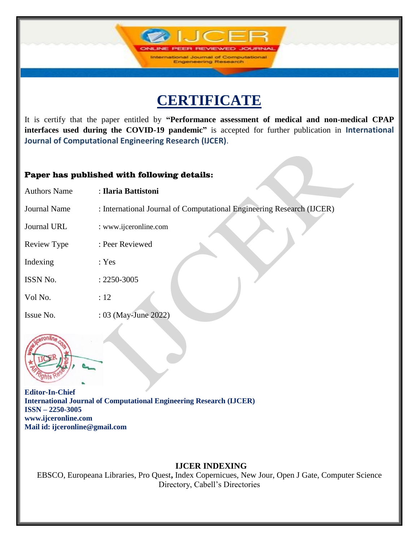**IJCF** 

International Journal of Computation **Engeneering Research** 

It is certify that the paper entitled by **"Performance assessment of medical and non-medical CPAP interfaces used during the COVID-19 pandemic"** is accepted for further publication in **International Journal of Computational Engineering Research (IJCER)**.

#### Paper has published with following details:

| <b>Authors Name</b> | : Ilaria Battistoni                                                   |
|---------------------|-----------------------------------------------------------------------|
| <b>Journal Name</b> | : International Journal of Computational Engineering Research (IJCER) |
| Journal URL         | : www.ijceronline.com                                                 |
| Review Type         | : Peer Reviewed                                                       |
| Indexing            | : Yes                                                                 |
| ISSN No.            | $: 2250 - 3005$                                                       |
| Vol No.             | :12                                                                   |
| Issue No.           | : 03 (May-June 2022)                                                  |



**Editor-In-Chief International Journal of Computational Engineering Research (IJCER) ISSN – 2250-3005 www.ijceronline.com Mail id: ijceronline@gmail.com**

### **IJCER INDEXING**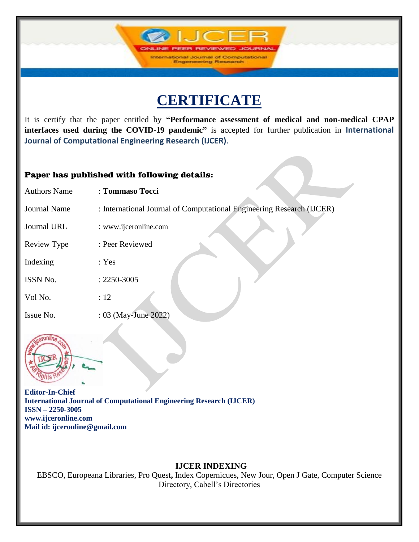**IJCF** 

International Journal of Computation **Engeneering Research** 

It is certify that the paper entitled by **"Performance assessment of medical and non-medical CPAP interfaces used during the COVID-19 pandemic"** is accepted for further publication in **International Journal of Computational Engineering Research (IJCER)**.

#### Paper has published with following details:

| <b>Authors Name</b> | : Tommaso Tocci                                                       |
|---------------------|-----------------------------------------------------------------------|
| <b>Journal Name</b> | : International Journal of Computational Engineering Research (IJCER) |
| Journal URL         | : www.ijceronline.com                                                 |
| Review Type         | : Peer Reviewed                                                       |
| Indexing            | : Yes                                                                 |
| ISSN No.            | $: 2250 - 3005$                                                       |
| Vol No.             | :12                                                                   |
| Issue No.           | : 03 (May-June 2022)                                                  |



**Editor-In-Chief International Journal of Computational Engineering Research (IJCER) ISSN – 2250-3005 www.ijceronline.com Mail id: ijceronline@gmail.com**

### **IJCER INDEXING**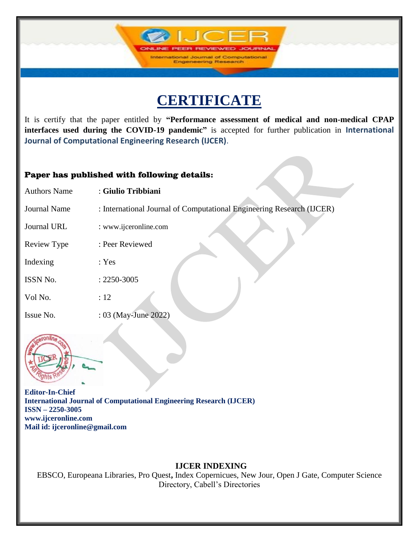**IJCF** 

International Journal of Computation **Engeneering Research** 

It is certify that the paper entitled by **"Performance assessment of medical and non-medical CPAP interfaces used during the COVID-19 pandemic"** is accepted for further publication in **International Journal of Computational Engineering Research (IJCER)**.

#### Paper has published with following details:

| <b>Authors Name</b> | : Giulio Tribbiani                                                    |
|---------------------|-----------------------------------------------------------------------|
| <b>Journal Name</b> | : International Journal of Computational Engineering Research (IJCER) |
| Journal URL         | : www.ijceronline.com                                                 |
| Review Type         | : Peer Reviewed                                                       |
| Indexing            | : Yes                                                                 |
| ISSN No.            | $: 2250 - 3005$                                                       |
| Vol No.             | :12                                                                   |
| Issue No.           | : 03 (May-June 2022)                                                  |



**Editor-In-Chief International Journal of Computational Engineering Research (IJCER) ISSN – 2250-3005 www.ijceronline.com Mail id: ijceronline@gmail.com**

## **IJCER INDEXING**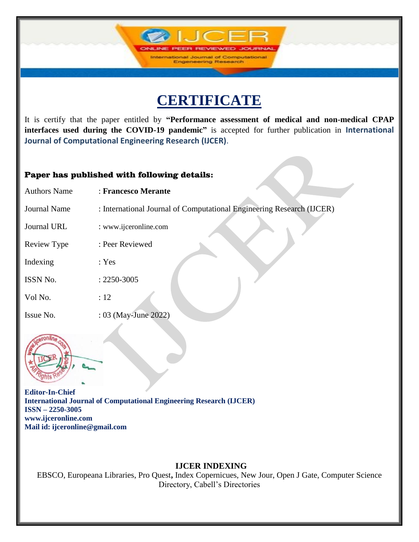**IJCF** 

International Journal of Computation **Engeneering Research** 

It is certify that the paper entitled by **"Performance assessment of medical and non-medical CPAP interfaces used during the COVID-19 pandemic"** is accepted for further publication in **International Journal of Computational Engineering Research (IJCER)**.

#### Paper has published with following details:

| <b>Authors Name</b> | : Francesco Merante                                                   |
|---------------------|-----------------------------------------------------------------------|
| <b>Journal Name</b> | : International Journal of Computational Engineering Research (IJCER) |
| Journal URL         | : www.ijceronline.com                                                 |
| Review Type         | : Peer Reviewed                                                       |
| Indexing            | : Yes                                                                 |
| ISSN No.            | $: 2250 - 3005$                                                       |
| Vol No.             | :12                                                                   |
| Issue No.           | : 03 (May-June 2022)                                                  |



**Editor-In-Chief International Journal of Computational Engineering Research (IJCER) ISSN – 2250-3005 www.ijceronline.com Mail id: ijceronline@gmail.com**

### **IJCER INDEXING**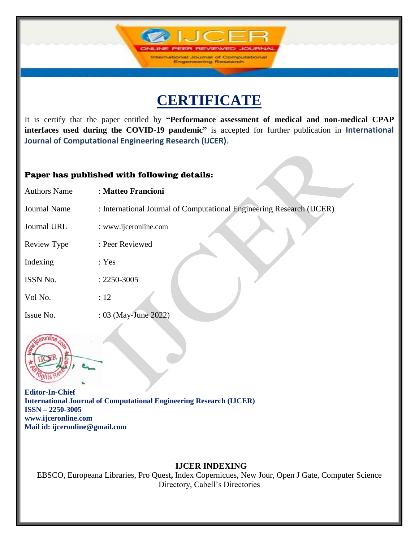**IJCF** 

International Journal of Computation **Engeneering Research** 

It is certify that the paper entitled by **"Performance assessment of medical and non-medical CPAP interfaces used during the COVID-19 pandemic"** is accepted for further publication in **International Journal of Computational Engineering Research (IJCER)**.

#### Paper has published with following details:

| <b>Authors Name</b> | : Matteo Francioni                                                    |
|---------------------|-----------------------------------------------------------------------|
| <b>Journal Name</b> | : International Journal of Computational Engineering Research (IJCER) |
| Journal URL         | : www.ijceronline.com                                                 |
| Review Type         | : Peer Reviewed                                                       |
| Indexing            | : Yes                                                                 |
| ISSN No.            | $: 2250 - 3005$                                                       |
| Vol No.             | :12                                                                   |
| Issue No.           | : 03 (May-June 2022)                                                  |



**Editor-In-Chief International Journal of Computational Engineering Research (IJCER) ISSN – 2250-3005 www.ijceronline.com Mail id: ijceronline@gmail.com**

### **IJCER INDEXING**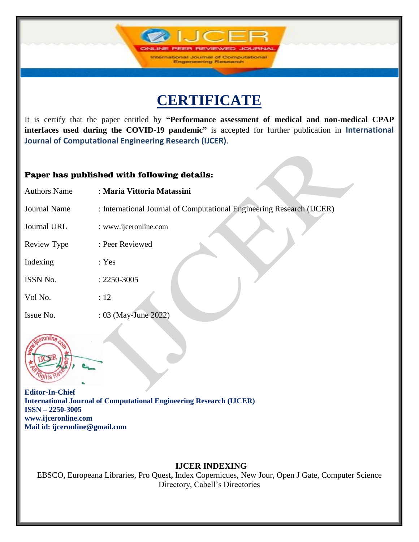**IJCF** 

International Journal of Computation **Engeneering Research** 

It is certify that the paper entitled by **"Performance assessment of medical and non-medical CPAP interfaces used during the COVID-19 pandemic"** is accepted for further publication in **International Journal of Computational Engineering Research (IJCER)**.

#### Paper has published with following details:

| <b>Authors Name</b> | : Maria Vittoria Matassini                                            |
|---------------------|-----------------------------------------------------------------------|
| <b>Journal Name</b> | : International Journal of Computational Engineering Research (IJCER) |
| Journal URL         | : www.ijceronline.com                                                 |
| Review Type         | : Peer Reviewed                                                       |
| Indexing            | : Yes                                                                 |
| ISSN No.            | $: 2250 - 3005$                                                       |
| Vol No.             | :12                                                                   |
| Issue No.           | : 03 (May-June 2022)                                                  |



**Editor-In-Chief International Journal of Computational Engineering Research (IJCER) ISSN – 2250-3005 www.ijceronline.com Mail id: ijceronline@gmail.com**

### **IJCER INDEXING**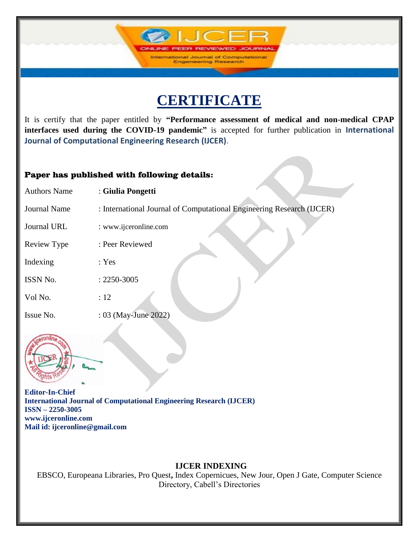**IJCF** 

International Journal of Computation **Engeneering Research** 

It is certify that the paper entitled by **"Performance assessment of medical and non-medical CPAP interfaces used during the COVID-19 pandemic"** is accepted for further publication in **International Journal of Computational Engineering Research (IJCER)**.

#### Paper has published with following details:

| <b>Authors Name</b> | : Giulia Pongetti                                                     |
|---------------------|-----------------------------------------------------------------------|
| <b>Journal Name</b> | : International Journal of Computational Engineering Research (IJCER) |
| Journal URL         | : www.ijceronline.com                                                 |
| Review Type         | : Peer Reviewed                                                       |
| Indexing            | : Yes                                                                 |
| ISSN No.            | $: 2250 - 3005$                                                       |
| Vol No.             | :12                                                                   |
| Issue No.           | : 03 (May-June 2022)                                                  |



**Editor-In-Chief International Journal of Computational Engineering Research (IJCER) ISSN – 2250-3005 www.ijceronline.com Mail id: ijceronline@gmail.com**

### **IJCER INDEXING**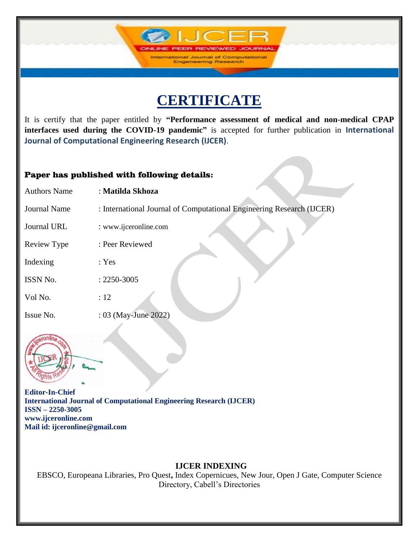**IJCF** 

International Journal of Computation **Engeneering Research** 

It is certify that the paper entitled by **"Performance assessment of medical and non-medical CPAP interfaces used during the COVID-19 pandemic"** is accepted for further publication in **International Journal of Computational Engineering Research (IJCER)**.

### Paper has published with following details:

| <b>Authors Name</b> | : Matilda Skhoza                                                      |
|---------------------|-----------------------------------------------------------------------|
| <b>Journal Name</b> | : International Journal of Computational Engineering Research (IJCER) |
| Journal URL         | : www.ijceronline.com                                                 |
| Review Type         | : Peer Reviewed                                                       |
| Indexing            | : Yes                                                                 |
| ISSN No.            | $: 2250 - 3005$                                                       |
| Vol No.             | :12                                                                   |
| Issue No.           | : 03 (May-June 2022)                                                  |



**Editor-In-Chief International Journal of Computational Engineering Research (IJCER) ISSN – 2250-3005 www.ijceronline.com Mail id: ijceronline@gmail.com**

### **IJCER INDEXING**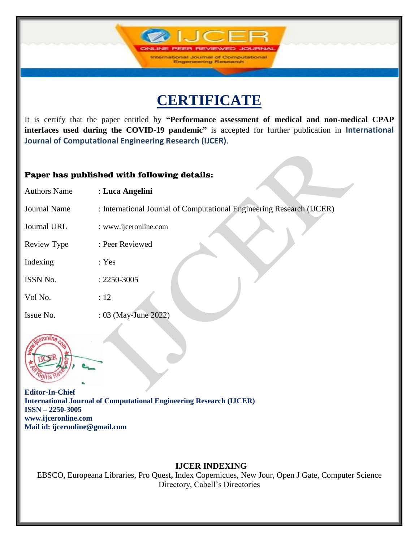**IJCF** 

International Journal of Computation **Engeneering Research** 

It is certify that the paper entitled by **"Performance assessment of medical and non-medical CPAP interfaces used during the COVID-19 pandemic"** is accepted for further publication in **International Journal of Computational Engineering Research (IJCER)**.

#### Paper has published with following details:

| <b>Authors Name</b> | : Luca Angelini                                                       |
|---------------------|-----------------------------------------------------------------------|
| <b>Journal Name</b> | : International Journal of Computational Engineering Research (IJCER) |
| Journal URL         | : www.ijceronline.com                                                 |
| Review Type         | : Peer Reviewed                                                       |
| Indexing            | : Yes                                                                 |
| ISSN No.            | $: 2250 - 3005$                                                       |
| Vol No.             | :12                                                                   |
| Issue No.           | : 03 (May-June 2022)                                                  |



**Editor-In-Chief International Journal of Computational Engineering Research (IJCER) ISSN – 2250-3005 www.ijceronline.com Mail id: ijceronline@gmail.com**

### **IJCER INDEXING**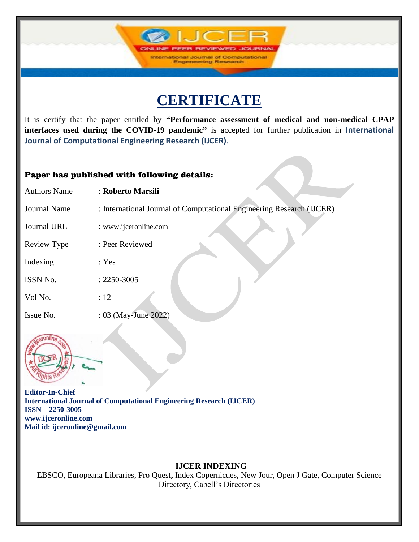**IJCF** 

International Journal of Computation **Engeneering Research** 

It is certify that the paper entitled by **"Performance assessment of medical and non-medical CPAP interfaces used during the COVID-19 pandemic"** is accepted for further publication in **International Journal of Computational Engineering Research (IJCER)**.

#### Paper has published with following details:

| <b>Authors Name</b> | : Roberto Marsili                                                     |
|---------------------|-----------------------------------------------------------------------|
| <b>Journal Name</b> | : International Journal of Computational Engineering Research (IJCER) |
| Journal URL         | : www.ijceronline.com                                                 |
| Review Type         | : Peer Reviewed                                                       |
| Indexing            | : Yes                                                                 |
| ISSN No.            | $: 2250 - 3005$                                                       |
| Vol No.             | :12                                                                   |
| Issue No.           | : 03 (May-June 2022)                                                  |



**Editor-In-Chief International Journal of Computational Engineering Research (IJCER) ISSN – 2250-3005 www.ijceronline.com Mail id: ijceronline@gmail.com**

## **IJCER INDEXING**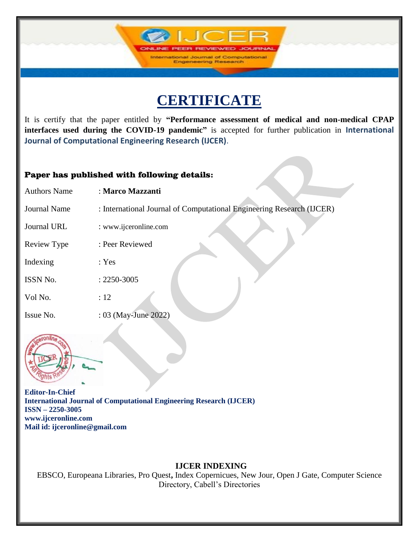**IJCF** 

International Journal of Computation **Engeneering Research** 

It is certify that the paper entitled by **"Performance assessment of medical and non-medical CPAP interfaces used during the COVID-19 pandemic"** is accepted for further publication in **International Journal of Computational Engineering Research (IJCER)**.

#### Paper has published with following details:

| <b>Authors Name</b> | : Marco Mazzanti                                                      |
|---------------------|-----------------------------------------------------------------------|
| <b>Journal Name</b> | : International Journal of Computational Engineering Research (IJCER) |
| Journal URL         | : www.ijceronline.com                                                 |
| Review Type         | : Peer Reviewed                                                       |
| Indexing            | : Yes                                                                 |
| ISSN No.            | $: 2250 - 3005$                                                       |
| Vol No.             | :12                                                                   |
| Issue No.           | : 03 (May-June 2022)                                                  |



**Editor-In-Chief International Journal of Computational Engineering Research (IJCER) ISSN – 2250-3005 www.ijceronline.com Mail id: ijceronline@gmail.com**

### **IJCER INDEXING**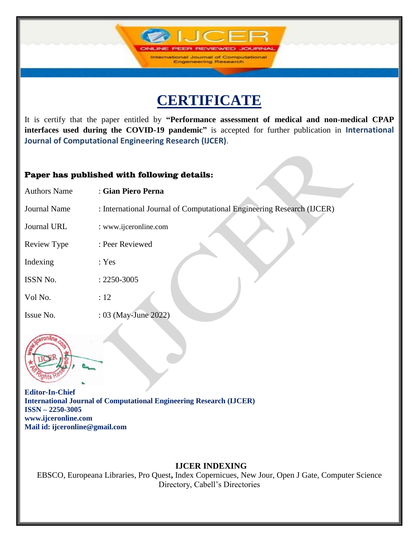**IJCF** 

International Journal of Computation **Engeneering Research** 

It is certify that the paper entitled by **"Performance assessment of medical and non-medical CPAP interfaces used during the COVID-19 pandemic"** is accepted for further publication in **International Journal of Computational Engineering Research (IJCER)**.

#### Paper has published with following details:

| <b>Authors Name</b> | : Gian Piero Perna                                                    |
|---------------------|-----------------------------------------------------------------------|
| <b>Journal Name</b> | : International Journal of Computational Engineering Research (IJCER) |
| Journal URL         | : www.ijceronline.com                                                 |
| Review Type         | : Peer Reviewed                                                       |
| Indexing            | : Yes                                                                 |
| ISSN No.            | $: 2250 - 3005$                                                       |
| Vol No.             | :12                                                                   |
| Issue No.           | : 03 (May-June 2022)                                                  |



**Editor-In-Chief International Journal of Computational Engineering Research (IJCER) ISSN – 2250-3005 www.ijceronline.com Mail id: ijceronline@gmail.com**

### **IJCER INDEXING**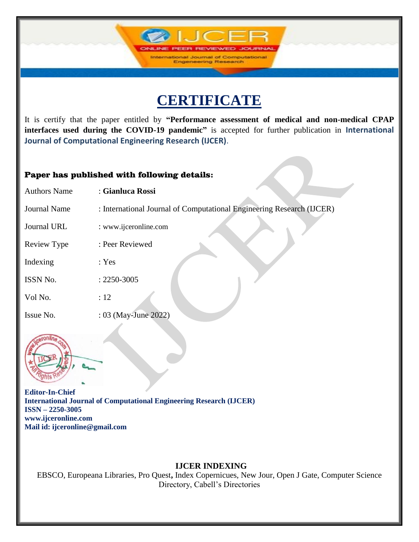**IJCF** 

International Journal of Computation **Engeneering Research** 

It is certify that the paper entitled by **"Performance assessment of medical and non-medical CPAP interfaces used during the COVID-19 pandemic"** is accepted for further publication in **International Journal of Computational Engineering Research (IJCER)**.

#### Paper has published with following details:

| <b>Authors Name</b> | : Gianluca Rossi                                                      |
|---------------------|-----------------------------------------------------------------------|
| <b>Journal Name</b> | : International Journal of Computational Engineering Research (IJCER) |
| Journal URL         | : www.ijceronline.com                                                 |
| Review Type         | : Peer Reviewed                                                       |
| Indexing            | : Yes                                                                 |
| ISSN No.            | $: 2250 - 3005$                                                       |
| Vol No.             | :12                                                                   |
| Issue No.           | : 03 (May-June 2022)                                                  |



**Editor-In-Chief International Journal of Computational Engineering Research (IJCER) ISSN – 2250-3005 www.ijceronline.com Mail id: ijceronline@gmail.com**

### **IJCER INDEXING**